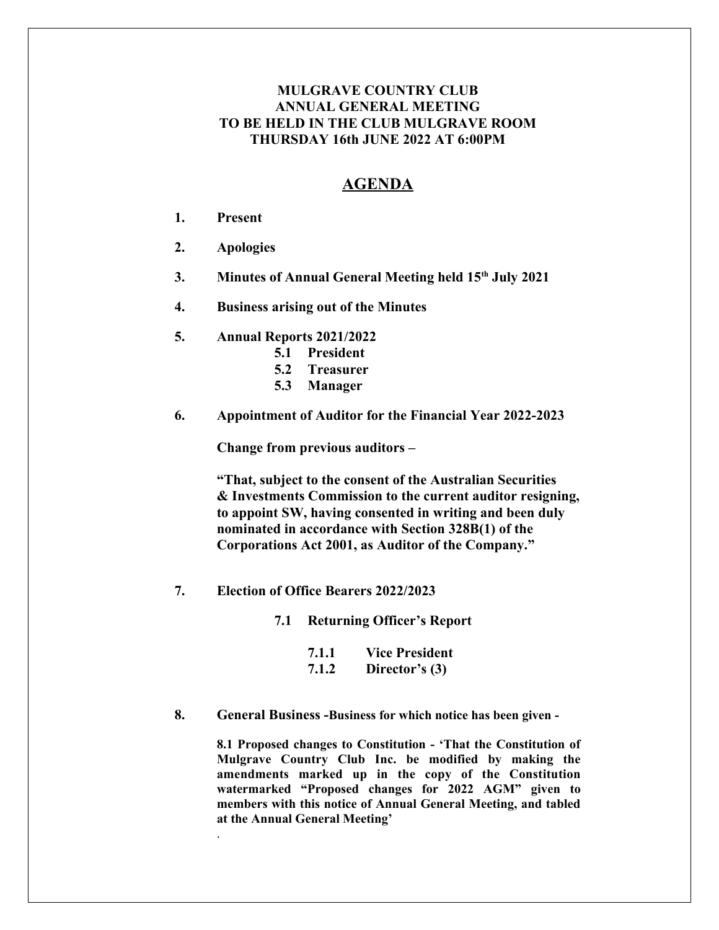## **MULGRAVE COUNTRY CLUB ANNUAL GENERAL MEETING TO BE HELD IN THE CLUB MULGRAVE ROOM THURSDAY 16th JUNE 2022 AT 6:00PM**

## **AGENDA**

**1. Present**

.

- **2. Apologies**
- **3. Minutes of Annual General Meeting held 15th July 2021**
- **4. Business arising out of the Minutes**
- **5. Annual Reports 2021/2022**
	- **5.1 President**
	- **5.2 Treasurer**
	- **5.3 Manager**
- **6. Appointment of Auditor for the Financial Year 2022-2023**

**Change from previous auditors –**

**"That, subject to the consent of the Australian Securities & Investments Commission to the current auditor resigning, to appoint SW, having consented in writing and been duly nominated in accordance with Section 328B(1) of the Corporations Act 2001, as Auditor of the Company."**

- **7. Election of Office Bearers 2022/2023** 
	- **7.1 Returning Officer's Report**
		- **7.1.1 Vice President**
		- **7.1.2 Director's (3)**
- **8. General Business -Business for which notice has been given -**

**8.1 Proposed changes to Constitution - 'That the Constitution of Mulgrave Country Club Inc. be modified by making the amendments marked up in the copy of the Constitution watermarked "Proposed changes for 2022 AGM" given to members with this notice of Annual General Meeting, and tabled at the Annual General Meeting'**